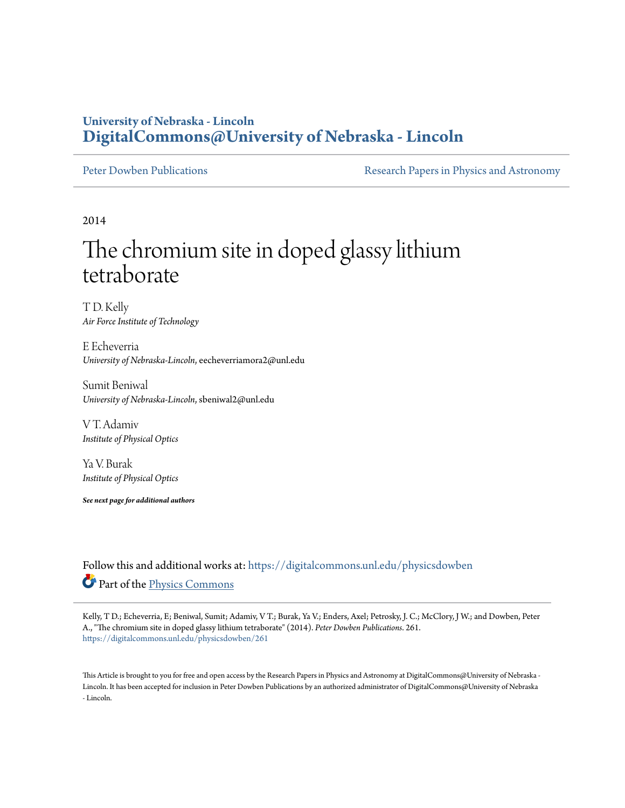### **University of Nebraska - Lincoln [DigitalCommons@University of Nebraska - Lincoln](https://digitalcommons.unl.edu?utm_source=digitalcommons.unl.edu%2Fphysicsdowben%2F261&utm_medium=PDF&utm_campaign=PDFCoverPages)**

[Peter Dowben Publications](https://digitalcommons.unl.edu/physicsdowben?utm_source=digitalcommons.unl.edu%2Fphysicsdowben%2F261&utm_medium=PDF&utm_campaign=PDFCoverPages) **[Research Papers in Physics and Astronomy](https://digitalcommons.unl.edu/physicsresearch?utm_source=digitalcommons.unl.edu%2Fphysicsdowben%2F261&utm_medium=PDF&utm_campaign=PDFCoverPages)** 

2014

# The chromium site in doped glassy lithium tetraborate

T D. Kelly *Air Force Institute of Technology*

E Echeverria *University of Nebraska-Lincoln*, eecheverriamora2@unl.edu

Sumit Beniwal *University of Nebraska-Lincoln*, sbeniwal2@unl.edu

V T. Adamiv *Institute of Physical Optics*

Ya V. Burak *Institute of Physical Optics*

*See next page for additional authors*

Follow this and additional works at: [https://digitalcommons.unl.edu/physicsdowben](https://digitalcommons.unl.edu/physicsdowben?utm_source=digitalcommons.unl.edu%2Fphysicsdowben%2F261&utm_medium=PDF&utm_campaign=PDFCoverPages) Part of the [Physics Commons](http://network.bepress.com/hgg/discipline/193?utm_source=digitalcommons.unl.edu%2Fphysicsdowben%2F261&utm_medium=PDF&utm_campaign=PDFCoverPages)

Kelly, T D.; Echeverria, E; Beniwal, Sumit; Adamiv, V T.; Burak, Ya V.; Enders, Axel; Petrosky, J. C.; McClory, J W.; and Dowben, Peter A., "The chromium site in doped glassy lithium tetraborate" (2014). *Peter Dowben Publications*. 261. [https://digitalcommons.unl.edu/physicsdowben/261](https://digitalcommons.unl.edu/physicsdowben/261?utm_source=digitalcommons.unl.edu%2Fphysicsdowben%2F261&utm_medium=PDF&utm_campaign=PDFCoverPages)

This Article is brought to you for free and open access by the Research Papers in Physics and Astronomy at DigitalCommons@University of Nebraska - Lincoln. It has been accepted for inclusion in Peter Dowben Publications by an authorized administrator of DigitalCommons@University of Nebraska - Lincoln.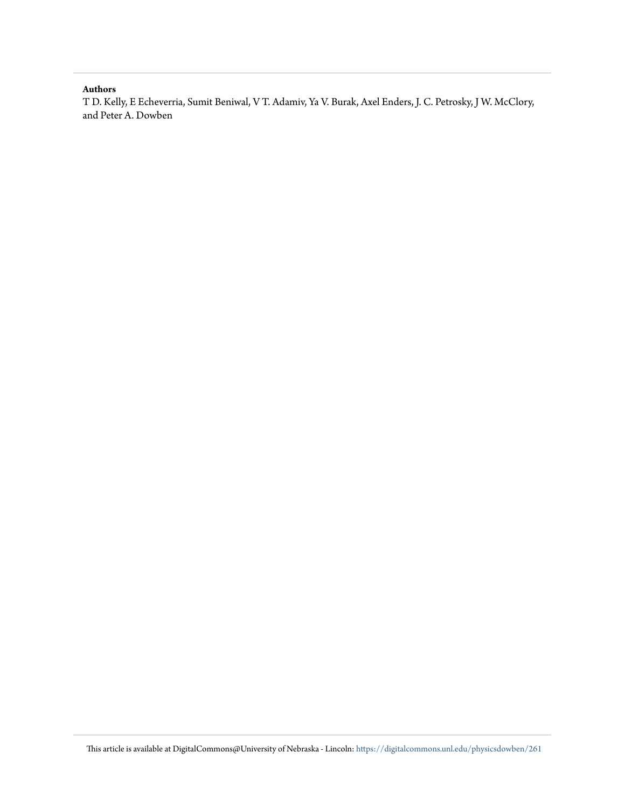### **Authors**

T D. Kelly, E Echeverria, Sumit Beniwal, V T. Adamiv, Ya V. Burak, Axel Enders, J. C. Petrosky, J W. McClory, and Peter A. Dowben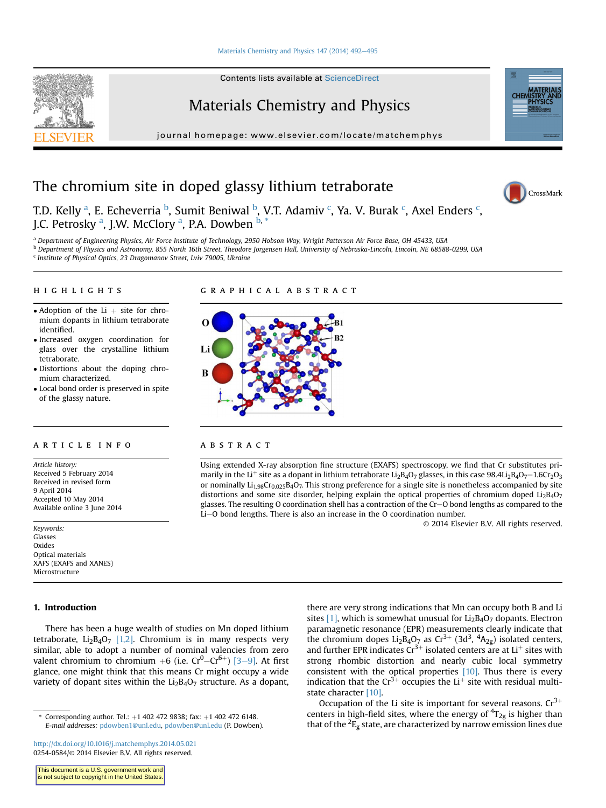#### [Materials Chemistry and Physics 147 \(2014\) 492](http://dx.doi.org/10.1016/j.matchemphys.2014.05.021)-[495](http://dx.doi.org/10.1016/j.matchemphys.2014.05.021)

Contents lists available at ScienceDirect

### Materials Chemistry and Physics

journal homepage: [www.elsevier.com/locate/matchemphys](http://www.elsevier.com/locate/matchemphys)

## The chromium site in doped glassy lithium tetraborate



**CHE** 

T.D. Kelly <sup>a</sup>, E. Echeverria <sup>b</sup>, Sumit Beniwal <sup>b</sup>, V.T. Adamiv <sup>c</sup>, Ya. V. Burak <sup>c</sup>, Axel Enders <sup>c</sup>, J.C. Petrosky <sup>a</sup>, J.W. McClory <sup>a</sup>, P.A. Dowben <sup>b, \*</sup>

a Department of Engineering Physics, Air Force Institute of Technology, 2950 Hobson Way, Wright Patterson Air Force Base, OH 45433, USA

b Department of Physics and Astronomy, 855 North 16th Street, Theodore Jorgensen Hall, University of Nebraska-Lincoln, Lincoln, NE 68588-0299, USA

<sup>c</sup> Institute of Physical Optics, 23 Dragomanov Street, Lviv 79005, Ukraine

### highlights graphical abstract

- Adoption of the Li  $+$  site for chromium dopants in lithium tetraborate identified.
- Increased oxygen coordination for glass over the crystalline lithium tetraborate.
- Distortions about the doping chromium characterized.
- Local bond order is preserved in spite of the glassy nature.

#### **ARTICLE INFO**

Article history: Received 5 February 2014 Received in revised form 9 April 2014 Accepted 10 May 2014 Available online 3 June 2014

Keywords: Glasses Oxides Optical materials XAFS (EXAFS and XANES) Microstructure

#### 1. Introduction

There has been a huge wealth of studies on Mn doped lithium tetraborate,  $Li_2B_4O_7$  [\[1,2\].](#page-5-0) Chromium is in many respects very similar, able to adopt a number of nominal valencies from zero valent chromium to chromium  $+6$  (i.e.  $Cr^0$ – $Cr^{6+}$ ) [\[3](#page-5-0)–[9\]](#page-5-0). At first glance, one might think that this means Cr might occupy a wide variety of dopant sites within the  $Li_2B_4O_7$  structure. As a dopant,

<http://dx.doi.org/10.1016/j.matchemphys.2014.05.021> 0254-0584/© 2014 Elsevier B.V. All rights reserved.



#### **ABSTRACT**

Using extended X-ray absorption fine structure (EXAFS) spectroscopy, we find that Cr substitutes primarily in the Li<sup>+</sup> site as a dopant in lithium tetraborate Li<sub>2</sub>B<sub>4</sub>O<sub>7</sub> glasses, in this case 98.4Li<sub>2</sub>B<sub>4</sub>O<sub>7</sub> -1.6Cr<sub>2</sub>O<sub>3</sub> or nominally  $Li_{1.98}Cr_{0.025}B_4O_7$ . This strong preference for a single site is nonetheless accompanied by site distortions and some site disorder, helping explain the optical properties of chromium doped  $Li_2B_4O_7$ glasses. The resulting O coordination shell has a contraction of the Cr-O bond lengths as compared to the  $Li$ –O bond lengths. There is also an increase in the O coordination number.

© 2014 Elsevier B.V. All rights reserved.

there are very strong indications that Mn can occupy both B and Li sites  $[1]$ , which is somewhat unusual for  $Li<sub>2</sub>B<sub>4</sub>O<sub>7</sub>$  dopants. Electron paramagnetic resonance (EPR) measurements clearly indicate that the chromium dopes Li<sub>2</sub>B<sub>4</sub>O<sub>7</sub> as Cr<sup>3+</sup> (3d<sup>3</sup>, <sup>4</sup>A<sub>2g</sub>) isolated centers, and further EPR indicates  $Cr^{3+}$  isolated centers are at  $Li^{+}$  sites with strong rhombic distortion and nearly cubic local symmetry consistent with the optical properties [\[10\].](#page-5-0) Thus there is every indication that the  $Cr^{3+}$  occupies the Li<sup>+</sup> site with residual multi-state character [\[10\].](#page-5-0)

Occupation of the Li site is important for several reasons.  $Cr^{3+}$ centers in high-field sites, where the energy of  ${}^{4}T_{2g}$  is higher than that of the  $^2E_g$  state, are characterized by narrow emission lines due

<sup>\*</sup> Corresponding author. Tel.:  $+1$  402 472 9838; fax:  $+1$  402 472 6148. E-mail addresses: [pdowben1@unl.edu](mailto:pdowben@unl.edu), [pdowben@unl.edu](mailto:pdowben@unl.edu) (P. Dowben).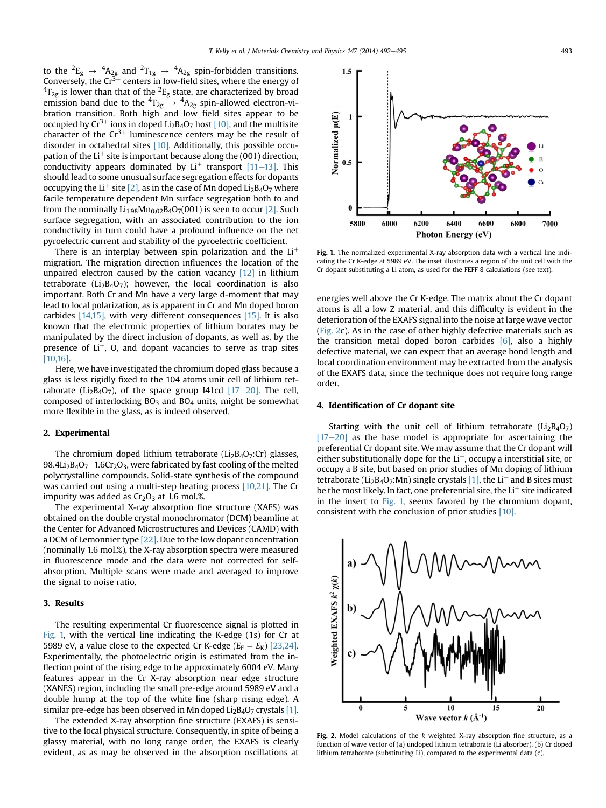<span id="page-3-0"></span>to the  ${}^2E_g \rightarrow {}^4A_{2g}$  and  ${}^2T_{1g} \rightarrow {}^4A_{2g}$  spin-forbidden transitions. Conversely, the Cr<sup>3+</sup> centers in low-field sites, where the energy of  $\rm ^4T_{2g}$  is lower than that of the  $\rm ^2E_g$  state, are characterized by broad emission band due to the  ${}^4T_{2g} \rightarrow {}^4A_{2g}$  spin-allowed electron-vibration transition. Both high and low field sites appear to be occupied by  $Cr^{3+}$  ions in doped Li<sub>2</sub>B<sub>4</sub>O<sub>7</sub> host [\[10\]](#page-5-0), and the multisite character of the  $Cr^{3+}$  luminescence centers may be the result of disorder in octahedral sites [\[10\].](#page-5-0) Additionally, this possible occupation of the  $Li<sup>+</sup>$  site is important because along the (001) direction, conductivity appears dominated by  $Li^+$  transport [\[11](#page-5-0)–[13\].](#page-5-0) This should lead to some unusual surface segregation effects for dopants occupying the Li<sup>+</sup> site [\[2\],](#page-5-0) as in the case of Mn doped Li<sub>2</sub>B<sub>4</sub>O<sub>7</sub> where facile temperature dependent Mn surface segregation both to and from the nominally  $Li_{1.98}Mn_{0.02}B_4O_7(001)$  is seen to occur [\[2\]](#page-5-0). Such surface segregation, with an associated contribution to the ion conductivity in turn could have a profound influence on the net pyroelectric current and stability of the pyroelectric coefficient.

There is an interplay between spin polarization and the  $Li<sup>+</sup>$ migration. The migration direction influences the location of the unpaired electron caused by the cation vacancy [\[12\]](#page-5-0) in lithium tetraborate ( $Li<sub>2</sub>B<sub>4</sub>O<sub>7</sub>$ ); however, the local coordination is also important. Both Cr and Mn have a very large d-moment that may lead to local polarization, as is apparent in Cr and Mn doped boron carbides [\[14,15\],](#page-5-0) with very different consequences [\[15\]](#page-5-0). It is also known that the electronic properties of lithium borates may be manipulated by the direct inclusion of dopants, as well as, by the presence of  $Li<sup>+</sup>$ , O, and dopant vacancies to serve as trap sites [\[10,16\].](#page-5-0)

Here, we have investigated the chromium doped glass because a glass is less rigidly fixed to the 104 atoms unit cell of lithium tetraborate ( $Li<sub>2</sub>B<sub>4</sub>O<sub>7</sub>$ ), of the space group I41cd [\[17](#page-5-0)-[20\]](#page-5-0). The cell, composed of interlocking  $BO<sub>3</sub>$  and  $BO<sub>4</sub>$  units, might be somewhat more flexible in the glass, as is indeed observed.

#### 2. Experimental

The chromium doped lithium tetraborate ( $Li<sub>2</sub>B<sub>4</sub>O<sub>7</sub>$ :Cr) glasses, 98.4Li<sub>2</sub>B<sub>4</sub>O<sub>7</sub> $-1.6Cr<sub>2</sub>O<sub>3</sub>$ , were fabricated by fast cooling of the melted polycrystalline compounds. Solid-state synthesis of the compound was carried out using a multi-step heating process [\[10,21\]](#page-5-0). The Cr impurity was added as  $Cr<sub>2</sub>O<sub>3</sub>$  at 1.6 mol.%.

The experimental X-ray absorption fine structure (XAFS) was obtained on the double crystal monochromator (DCM) beamline at the Center for Advanced Microstructures and Devices (CAMD) with a DCM of Lemonnier type [\[22\].](#page-5-0) Due to the low dopant concentration (nominally 1.6 mol.%), the X-ray absorption spectra were measured in fluorescence mode and the data were not corrected for selfabsorption. Multiple scans were made and averaged to improve the signal to noise ratio.

#### 3. Results

The resulting experimental Cr fluorescence signal is plotted in Fig. 1, with the vertical line indicating the K-edge (1s) for Cr at 5989 eV, a value close to the expected Cr K-edge  $(E_F - E_K)$  [\[23,24\].](#page-5-0) Experimentally, the photoelectric origin is estimated from the inflection point of the rising edge to be approximately 6004 eV. Many features appear in the Cr X-ray absorption near edge structure (XANES) region, including the small pre-edge around 5989 eV and a double hump at the top of the white line (sharp rising edge). A similar pre-edge has been observed in Mn doped  $Li<sub>2</sub>B<sub>4</sub>O<sub>7</sub>$  crystals [\[1\].](#page-5-0)

The extended X-ray absorption fine structure (EXAFS) is sensitive to the local physical structure. Consequently, in spite of being a glassy material, with no long range order, the EXAFS is clearly evident, as as may be observed in the absorption oscillations at



Fig. 1. The normalized experimental X-ray absorption data with a vertical line indicating the Cr K-edge at 5989 eV. The inset illustrates a region of the unit cell with the Cr dopant substituting a Li atom, as used for the FEFF 8 calculations (see text).

energies well above the Cr K-edge. The matrix about the Cr dopant atoms is all a low Z material, and this difficulty is evident in the deterioration of the EXAFS signal into the noise at large wave vector (Fig. 2c). As in the case of other highly defective materials such as the transition metal doped boron carbides [\[6\],](#page-5-0) also a highly defective material, we can expect that an average bond length and local coordination environment may be extracted from the analysis of the EXAFS data, since the technique does not require long range order.

#### 4. Identification of Cr dopant site

Starting with the unit cell of lithium tetraborate  $(Li<sub>2</sub>B<sub>4</sub>O<sub>7</sub>)$  $[17-20]$  $[17-20]$  $[17-20]$  as the base model is appropriate for ascertaining the preferential Cr dopant site. We may assume that the Cr dopant will either substitutionally dope for the  $Li<sup>+</sup>$ , occupy a interstitial site, or occupy a B site, but based on prior studies of Mn doping of lithium tetraborate (Li<sub>2</sub>B<sub>4</sub>O<sub>7</sub>:Mn) single crystals [\[1\]](#page-5-0), the Li<sup>+</sup> and B sites must be the most likely. In fact, one preferential site, the  $Li<sup>+</sup>$  site indicated in the insert to Fig. 1, seems favored by the chromium dopant, consistent with the conclusion of prior studies [\[10\]](#page-5-0).



Fig. 2. Model calculations of the  $k$  weighted X-ray absorption fine structure, as a function of wave vector of (a) undoped lithium tetraborate (Li absorber), (b) Cr doped lithium tetraborate (substituting Li), compared to the experimental data (c).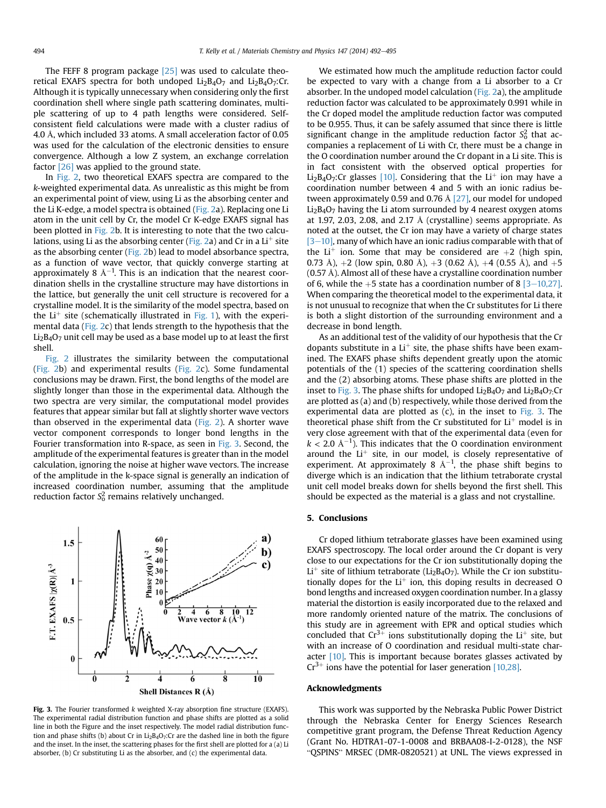The FEFF 8 program package  $[25]$  was used to calculate theoretical EXAFS spectra for both undoped  $Li<sub>2</sub>B<sub>4</sub>O<sub>7</sub>$  and  $Li<sub>2</sub>B<sub>4</sub>O<sub>7</sub>$ :Cr. Although it is typically unnecessary when considering only the first coordination shell where single path scattering dominates, multiple scattering of up to 4 path lengths were considered. Selfconsistent field calculations were made with a cluster radius of 4.0 Å, which included 33 atoms. A small acceleration factor of 0.05 was used for the calculation of the electronic densities to ensure convergence. Although a low Z system, an exchange correlation factor [\[26\]](#page-5-0) was applied to the ground state.

In [Fig. 2](#page-3-0), two theoretical EXAFS spectra are compared to the k-weighted experimental data. As unrealistic as this might be from an experimental point of view, using Li as the absorbing center and the Li K-edge, a model spectra is obtained ([Fig. 2](#page-3-0)a). Replacing one Li atom in the unit cell by Cr, the model Cr K-edge EXAFS signal has been plotted in [Fig. 2](#page-3-0)b. It is interesting to note that the two calcu-lations, using Li as the absorbing center ([Fig. 2a](#page-3-0)) and Cr in a  $Li<sup>+</sup>$  site as the absorbing center ([Fig. 2b](#page-3-0)) lead to model absorbance spectra, as a function of wave vector, that quickly converge starting at approximately 8 Å $^{-1}$ . This is an indication that the nearest coordination shells in the crystalline structure may have distortions in the lattice, but generally the unit cell structure is recovered for a crystalline model. It is the similarity of the model spectra, based on the  $Li<sup>+</sup>$  site (schematically illustrated in [Fig. 1\)](#page-3-0), with the experimental data [\(Fig. 2](#page-3-0)c) that lends strength to the hypothesis that the  $Li<sub>2</sub>B<sub>4</sub>O<sub>7</sub>$  unit cell may be used as a base model up to at least the first shell.

[Fig. 2](#page-3-0) illustrates the similarity between the computational ([Fig. 2b](#page-3-0)) and experimental results [\(Fig. 2](#page-3-0)c). Some fundamental conclusions may be drawn. First, the bond lengths of the model are slightly longer than those in the experimental data. Although the two spectra are very similar, the computational model provides features that appear similar but fall at slightly shorter wave vectors than observed in the experimental data ([Fig. 2](#page-3-0)). A shorter wave vector component corresponds to longer bond lengths in the Fourier transformation into R-space, as seen in Fig. 3. Second, the amplitude of the experimental features is greater than in the model calculation, ignoring the noise at higher wave vectors. The increase of the amplitude in the k-space signal is generally an indication of increased coordination number, assuming that the amplitude reduction factor  $\mathit{S}^{2}_{\mathrm{o}}$  remains relatively unchanged.



Fig. 3. The Fourier transformed k weighted X-ray absorption fine structure (EXAFS). The experimental radial distribution function and phase shifts are plotted as a solid line in both the Figure and the inset respectively. The model radial distribution function and phase shifts (b) about Cr in  $Li<sub>2</sub>B<sub>4</sub>O<sub>7</sub>$ : Cr are the dashed line in both the figure and the inset. In the inset, the scattering phases for the first shell are plotted for a (a) Li absorber, (b) Cr substituting Li as the absorber, and (c) the experimental data.

We estimated how much the amplitude reduction factor could be expected to vary with a change from a Li absorber to a Cr absorber. In the undoped model calculation [\(Fig. 2a](#page-3-0)), the amplitude reduction factor was calculated to be approximately 0.991 while in the Cr doped model the amplitude reduction factor was computed to be 0.955. Thus, it can be safely assumed that since there is little significant change in the amplitude reduction factor  $S_0^2$  that accompanies a replacement of Li with Cr, there must be a change in the O coordination number around the Cr dopant in a Li site. This is in fact consistent with the observed optical properties for Li<sub>2</sub>B<sub>4</sub>O<sub>7</sub>:Cr glasses [\[10\].](#page-5-0) Considering that the Li<sup>+</sup> ion may have a coordination number between 4 and 5 with an ionic radius between approximately 0.59 and 0.76 Å [\[27\],](#page-5-0) our model for undoped  $Li<sub>2</sub>B<sub>4</sub>O<sub>7</sub>$  having the Li atom surrounded by 4 nearest oxygen atoms at 1.97, 2.03, 2.08, and 2.17 Å (crystalline) seems appropriate. As noted at the outset, the Cr ion may have a variety of charge states  $[3-10]$  $[3-10]$  $[3-10]$ , many of which have an ionic radius comparable with that of the Li<sup>+</sup> ion. Some that may be considered are  $+2$  (high spin, 0.73 Å),  $+2$  (low spin, 0.80 Å),  $+3$  (0.62 Å),  $+4$  (0.55 Å), and  $+5$ (0.57 Å). Almost all of these have a crystalline coordination number of 6, while the +5 state has a coordination number of 8  $[3-10,27]$  $[3-10,27]$ . When comparing the theoretical model to the experimental data, it is not unusual to recognize that when the Cr substitutes for Li there is both a slight distortion of the surrounding environment and a decrease in bond length.

As an additional test of the validity of our hypothesis that the Cr dopants substitute in a  $Li<sup>+</sup>$  site, the phase shifts have been examined. The EXAFS phase shifts dependent greatly upon the atomic potentials of the (1) species of the scattering coordination shells and the (2) absorbing atoms. These phase shifts are plotted in the inset to Fig. 3. The phase shifts for undoped  $Li_2B_4O_7$  and  $Li_2B_4O_7$ :Cr are plotted as (a) and (b) respectively, while those derived from the experimental data are plotted as  $(c)$ , in the inset to Fig. 3. The theoretical phase shift from the Cr substituted for  $Li<sup>+</sup>$  model is in very close agreement with that of the experimental data (even for  $k < 2.0 \text{ Å}^{-1}$ ). This indicates that the O coordination environment around the  $Li<sup>+</sup>$  site, in our model, is closely representative of experiment. At approximately 8  $\AA^{-1}$ , the phase shift begins to diverge which is an indication that the lithium tetraborate crystal unit cell model breaks down for shells beyond the first shell. This should be expected as the material is a glass and not crystalline.

#### 5. Conclusions

Cr doped lithium tetraborate glasses have been examined using EXAFS spectroscopy. The local order around the Cr dopant is very close to our expectations for the Cr ion substitutionally doping the Li<sup>+</sup> site of lithium tetraborate (Li<sub>2</sub>B<sub>4</sub>O<sub>7</sub>). While the Cr ion substitutionally dopes for the  $Li<sup>+</sup>$  ion, this doping results in decreased O bond lengths and increased oxygen coordination number. In a glassy material the distortion is easily incorporated due to the relaxed and more randomly oriented nature of the matrix. The conclusions of this study are in agreement with EPR and optical studies which concluded that  $Cr^{3+}$  ions substitutionally doping the Li<sup>+</sup> site, but with an increase of O coordination and residual multi-state character  $[10]$ . This is important because borates glasses activated by  $Cr^{3+}$  ions have the potential for laser generation [\[10,28\].](#page-5-0)

#### Acknowledgments

This work was supported by the Nebraska Public Power District through the Nebraska Center for Energy Sciences Research competitive grant program, the Defense Threat Reduction Agency (Grant No. HDTRA1-07-1-0008 and BRBAA08-I-2-0128), the NSF "QSPINS" MRSEC (DMR-0820521) at UNL. The views expressed in